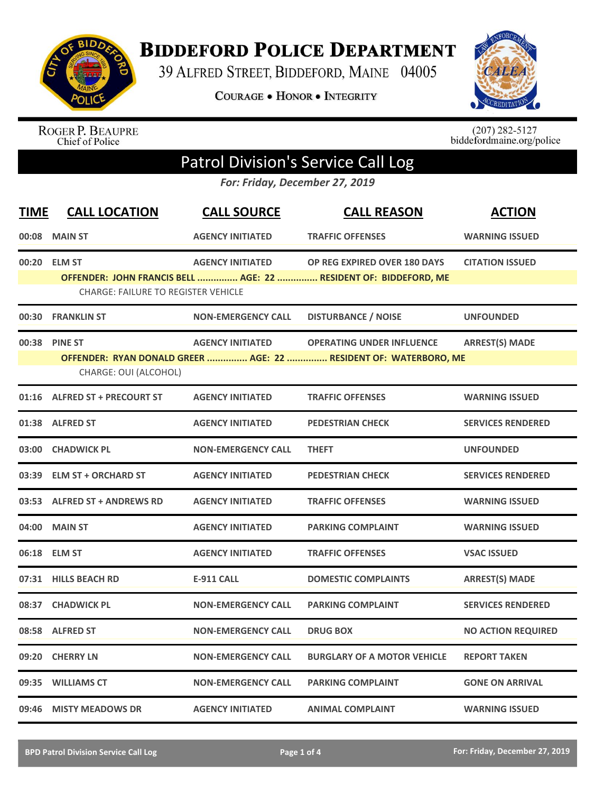

**BIDDEFORD POLICE DEPARTMENT** 

39 ALFRED STREET, BIDDEFORD, MAINE 04005

**COURAGE . HONOR . INTEGRITY** 



ROGER P. BEAUPRE<br>Chief of Police

 $(207)$  282-5127<br>biddefordmaine.org/police

## Patrol Division's Service Call Log

*For: Friday, December 27, 2019*

| <b>TIME</b> | <b>CALL LOCATION</b>                       | <b>CALL SOURCE</b>        | <b>CALL REASON</b>                                               | <b>ACTION</b>             |  |  |
|-------------|--------------------------------------------|---------------------------|------------------------------------------------------------------|---------------------------|--|--|
|             | 00:08 MAIN ST                              | <b>AGENCY INITIATED</b>   | <b>TRAFFIC OFFENSES</b>                                          | <b>WARNING ISSUED</b>     |  |  |
| 00:20       | <b>ELM ST</b>                              | <b>AGENCY INITIATED</b>   | OP REG EXPIRED OVER 180 DAYS                                     | <b>CITATION ISSUED</b>    |  |  |
|             |                                            |                           | OFFENDER: JOHN FRANCIS BELL  AGE: 22  RESIDENT OF: BIDDEFORD, ME |                           |  |  |
|             | <b>CHARGE: FAILURE TO REGISTER VEHICLE</b> |                           |                                                                  |                           |  |  |
| 00:30       | <b>FRANKLIN ST</b>                         | <b>NON-EMERGENCY CALL</b> | <b>DISTURBANCE / NOISE</b>                                       | <b>UNFOUNDED</b>          |  |  |
| 00:38       | <b>PINE ST</b>                             | <b>AGENCY INITIATED</b>   | <b>OPERATING UNDER INFLUENCE</b>                                 | <b>ARREST(S) MADE</b>     |  |  |
|             |                                            |                           | OFFENDER: RYAN DONALD GREER  AGE: 22  RESIDENT OF: WATERBORO, ME |                           |  |  |
|             | CHARGE: OUI (ALCOHOL)                      |                           |                                                                  |                           |  |  |
| 01:16       | <b>ALFRED ST + PRECOURT ST</b>             | <b>AGENCY INITIATED</b>   | <b>TRAFFIC OFFENSES</b>                                          | <b>WARNING ISSUED</b>     |  |  |
| 01:38       | <b>ALFRED ST</b>                           | <b>AGENCY INITIATED</b>   | <b>PEDESTRIAN CHECK</b>                                          | <b>SERVICES RENDERED</b>  |  |  |
| 03:00       | <b>CHADWICK PL</b>                         | <b>NON-EMERGENCY CALL</b> | <b>THEFT</b>                                                     | <b>UNFOUNDED</b>          |  |  |
| 03:39       | <b>ELM ST + ORCHARD ST</b>                 | <b>AGENCY INITIATED</b>   | <b>PEDESTRIAN CHECK</b>                                          | <b>SERVICES RENDERED</b>  |  |  |
|             | 03:53 ALFRED ST + ANDREWS RD               | <b>AGENCY INITIATED</b>   | <b>TRAFFIC OFFENSES</b>                                          | <b>WARNING ISSUED</b>     |  |  |
|             | 04:00 MAIN ST                              | <b>AGENCY INITIATED</b>   | <b>PARKING COMPLAINT</b>                                         | <b>WARNING ISSUED</b>     |  |  |
|             | 06:18 ELM ST                               | <b>AGENCY INITIATED</b>   | <b>TRAFFIC OFFENSES</b>                                          | <b>VSAC ISSUED</b>        |  |  |
|             | 07:31 HILLS BEACH RD                       | <b>E-911 CALL</b>         | <b>DOMESTIC COMPLAINTS</b>                                       | <b>ARREST(S) MADE</b>     |  |  |
| 08:37       | <b>CHADWICK PL</b>                         | <b>NON-EMERGENCY CALL</b> | <b>PARKING COMPLAINT</b>                                         | <b>SERVICES RENDERED</b>  |  |  |
|             | 08:58 ALFRED ST                            | <b>NON-EMERGENCY CALL</b> | <b>DRUG BOX</b>                                                  | <b>NO ACTION REQUIRED</b> |  |  |
| 09:20       | <b>CHERRY LN</b>                           | <b>NON-EMERGENCY CALL</b> | <b>BURGLARY OF A MOTOR VEHICLE</b>                               | <b>REPORT TAKEN</b>       |  |  |
| 09:35       | <b>WILLIAMS CT</b>                         | <b>NON-EMERGENCY CALL</b> | <b>PARKING COMPLAINT</b>                                         | <b>GONE ON ARRIVAL</b>    |  |  |
| 09:46       | <b>MISTY MEADOWS DR</b>                    | <b>AGENCY INITIATED</b>   | <b>ANIMAL COMPLAINT</b>                                          | <b>WARNING ISSUED</b>     |  |  |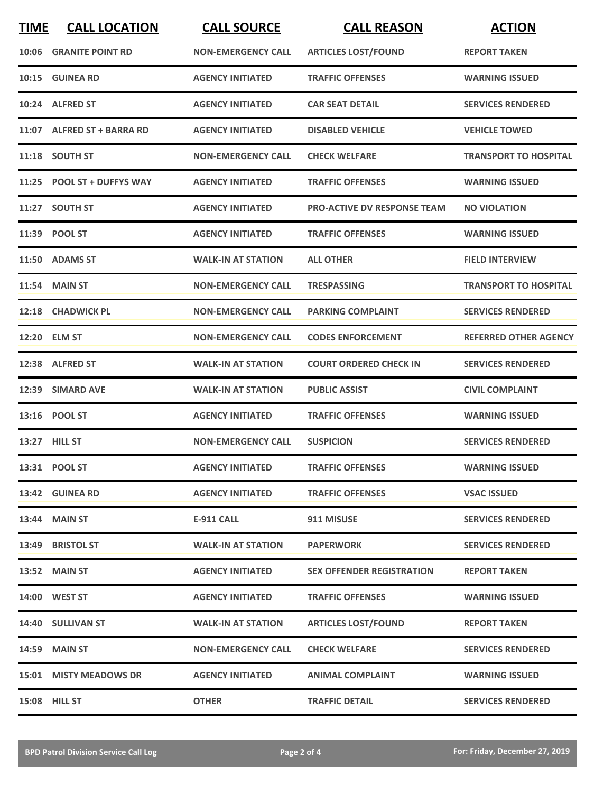| <b>TIME</b> | <b>CALL LOCATION</b>          | <b>CALL SOURCE</b>        | <b>CALL REASON</b>                 | <b>ACTION</b>                |
|-------------|-------------------------------|---------------------------|------------------------------------|------------------------------|
|             | <b>10:06 GRANITE POINT RD</b> | <b>NON-EMERGENCY CALL</b> | <b>ARTICLES LOST/FOUND</b>         | <b>REPORT TAKEN</b>          |
|             | 10:15 GUINEA RD               | <b>AGENCY INITIATED</b>   | <b>TRAFFIC OFFENSES</b>            | <b>WARNING ISSUED</b>        |
|             | 10:24 ALFRED ST               | <b>AGENCY INITIATED</b>   | <b>CAR SEAT DETAIL</b>             | <b>SERVICES RENDERED</b>     |
|             | 11:07 ALFRED ST + BARRA RD    | <b>AGENCY INITIATED</b>   | <b>DISABLED VEHICLE</b>            | <b>VEHICLE TOWED</b>         |
|             | 11:18 SOUTH ST                | <b>NON-EMERGENCY CALL</b> | <b>CHECK WELFARE</b>               | <b>TRANSPORT TO HOSPITAL</b> |
|             | 11:25 POOL ST + DUFFYS WAY    | <b>AGENCY INITIATED</b>   | <b>TRAFFIC OFFENSES</b>            | <b>WARNING ISSUED</b>        |
|             | 11:27 SOUTH ST                | <b>AGENCY INITIATED</b>   | <b>PRO-ACTIVE DV RESPONSE TEAM</b> | <b>NO VIOLATION</b>          |
|             | 11:39 POOL ST                 | <b>AGENCY INITIATED</b>   | <b>TRAFFIC OFFENSES</b>            | <b>WARNING ISSUED</b>        |
|             | 11:50 ADAMS ST                | <b>WALK-IN AT STATION</b> | <b>ALL OTHER</b>                   | <b>FIELD INTERVIEW</b>       |
|             | <b>11:54 MAIN ST</b>          | <b>NON-EMERGENCY CALL</b> | <b>TRESPASSING</b>                 | <b>TRANSPORT TO HOSPITAL</b> |
|             | 12:18 CHADWICK PL             | <b>NON-EMERGENCY CALL</b> | <b>PARKING COMPLAINT</b>           | <b>SERVICES RENDERED</b>     |
|             | 12:20 ELM ST                  | <b>NON-EMERGENCY CALL</b> | <b>CODES ENFORCEMENT</b>           | <b>REFERRED OTHER AGENCY</b> |
|             | 12:38 ALFRED ST               | <b>WALK-IN AT STATION</b> | <b>COURT ORDERED CHECK IN</b>      | <b>SERVICES RENDERED</b>     |
|             | 12:39 SIMARD AVE              | <b>WALK-IN AT STATION</b> | <b>PUBLIC ASSIST</b>               | <b>CIVIL COMPLAINT</b>       |
|             | 13:16 POOL ST                 | <b>AGENCY INITIATED</b>   | <b>TRAFFIC OFFENSES</b>            | <b>WARNING ISSUED</b>        |
|             | 13:27 HILL ST                 | <b>NON-EMERGENCY CALL</b> | <b>SUSPICION</b>                   | <b>SERVICES RENDERED</b>     |
|             | 13:31 POOL ST                 | <b>AGENCY INITIATED</b>   | <b>TRAFFIC OFFENSES</b>            | <b>WARNING ISSUED</b>        |
|             | 13:42 GUINEA RD               | <b>AGENCY INITIATED</b>   | <b>TRAFFIC OFFENSES</b>            | <b>VSAC ISSUED</b>           |
|             | 13:44 MAIN ST                 | E-911 CALL                | 911 MISUSE                         | <b>SERVICES RENDERED</b>     |
|             | 13:49 BRISTOL ST              | <b>WALK-IN AT STATION</b> | <b>PAPERWORK</b>                   | <b>SERVICES RENDERED</b>     |
|             | 13:52 MAIN ST                 | <b>AGENCY INITIATED</b>   | <b>SEX OFFENDER REGISTRATION</b>   | <b>REPORT TAKEN</b>          |
|             | 14:00 WEST ST                 | <b>AGENCY INITIATED</b>   | <b>TRAFFIC OFFENSES</b>            | <b>WARNING ISSUED</b>        |
|             | 14:40 SULLIVAN ST             | <b>WALK-IN AT STATION</b> | <b>ARTICLES LOST/FOUND</b>         | <b>REPORT TAKEN</b>          |
|             | <b>14:59 MAIN ST</b>          | <b>NON-EMERGENCY CALL</b> | <b>CHECK WELFARE</b>               | <b>SERVICES RENDERED</b>     |
|             | 15:01 MISTY MEADOWS DR        | <b>AGENCY INITIATED</b>   | <b>ANIMAL COMPLAINT</b>            | <b>WARNING ISSUED</b>        |
|             | 15:08 HILL ST                 | <b>OTHER</b>              | <b>TRAFFIC DETAIL</b>              | <b>SERVICES RENDERED</b>     |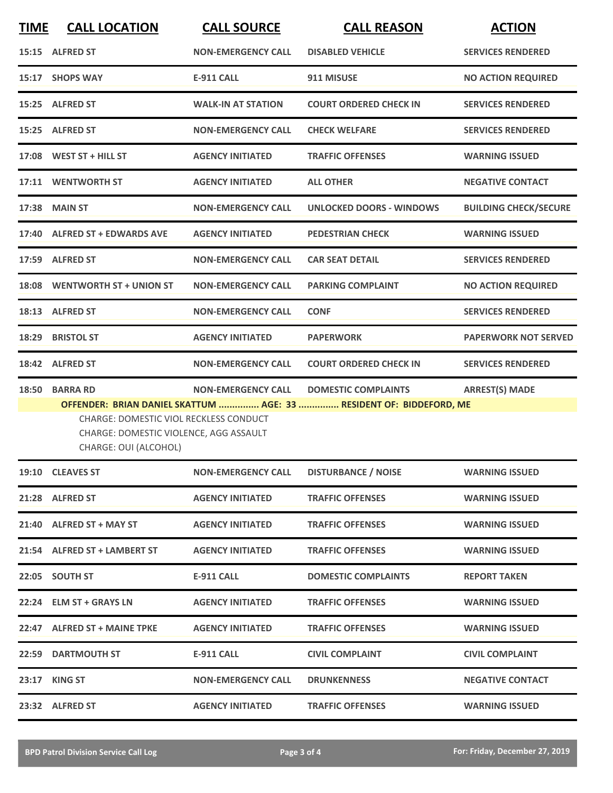| <b>TIME</b> | <b>CALL LOCATION</b>                                                                                                         | <b>CALL SOURCE</b>        | <b>CALL REASON</b>                                                                                | <b>ACTION</b>                |
|-------------|------------------------------------------------------------------------------------------------------------------------------|---------------------------|---------------------------------------------------------------------------------------------------|------------------------------|
|             | 15:15 ALFRED ST                                                                                                              | <b>NON-EMERGENCY CALL</b> | <b>DISABLED VEHICLE</b>                                                                           | <b>SERVICES RENDERED</b>     |
|             | 15:17 SHOPS WAY                                                                                                              | <b>E-911 CALL</b>         | 911 MISUSE                                                                                        | <b>NO ACTION REQUIRED</b>    |
|             | 15:25 ALFRED ST                                                                                                              | <b>WALK-IN AT STATION</b> | <b>COURT ORDERED CHECK IN</b>                                                                     | <b>SERVICES RENDERED</b>     |
|             | 15:25 ALFRED ST                                                                                                              | <b>NON-EMERGENCY CALL</b> | <b>CHECK WELFARE</b>                                                                              | <b>SERVICES RENDERED</b>     |
|             | 17:08 WEST ST + HILL ST                                                                                                      | <b>AGENCY INITIATED</b>   | <b>TRAFFIC OFFENSES</b>                                                                           | <b>WARNING ISSUED</b>        |
|             | 17:11 WENTWORTH ST                                                                                                           | <b>AGENCY INITIATED</b>   | <b>ALL OTHER</b>                                                                                  | <b>NEGATIVE CONTACT</b>      |
| 17:38       | <b>MAIN ST</b>                                                                                                               | <b>NON-EMERGENCY CALL</b> | <b>UNLOCKED DOORS - WINDOWS</b>                                                                   | <b>BUILDING CHECK/SECURE</b> |
| 17:40       | <b>ALFRED ST + EDWARDS AVE</b>                                                                                               | <b>AGENCY INITIATED</b>   | <b>PEDESTRIAN CHECK</b>                                                                           | <b>WARNING ISSUED</b>        |
| 17:59       | <b>ALFRED ST</b>                                                                                                             | <b>NON-EMERGENCY CALL</b> | <b>CAR SEAT DETAIL</b>                                                                            | <b>SERVICES RENDERED</b>     |
| 18:08       | <b>WENTWORTH ST + UNION ST</b>                                                                                               | <b>NON-EMERGENCY CALL</b> | <b>PARKING COMPLAINT</b>                                                                          | <b>NO ACTION REQUIRED</b>    |
|             | 18:13 ALFRED ST                                                                                                              | <b>NON-EMERGENCY CALL</b> | <b>CONF</b>                                                                                       | <b>SERVICES RENDERED</b>     |
| 18:29       | <b>BRISTOL ST</b>                                                                                                            | <b>AGENCY INITIATED</b>   | <b>PAPERWORK</b>                                                                                  | <b>PAPERWORK NOT SERVED</b>  |
|             | 18:42 ALFRED ST                                                                                                              | <b>NON-EMERGENCY CALL</b> | <b>COURT ORDERED CHECK IN</b>                                                                     | <b>SERVICES RENDERED</b>     |
| 18:50       | <b>BARRA RD</b><br>CHARGE: DOMESTIC VIOL RECKLESS CONDUCT<br>CHARGE: DOMESTIC VIOLENCE, AGG ASSAULT<br>CHARGE: OUI (ALCOHOL) | <b>NON-EMERGENCY CALL</b> | <b>DOMESTIC COMPLAINTS</b><br>OFFENDER: BRIAN DANIEL SKATTUM  AGE: 33  RESIDENT OF: BIDDEFORD, ME | <b>ARREST(S) MADE</b>        |
|             | 19:10 CLEAVES ST                                                                                                             | <b>NON-EMERGENCY CALL</b> | <b>DISTURBANCE / NOISE</b>                                                                        | <b>WARNING ISSUED</b>        |
|             | 21:28 ALFRED ST                                                                                                              | <b>AGENCY INITIATED</b>   | <b>TRAFFIC OFFENSES</b>                                                                           | <b>WARNING ISSUED</b>        |
|             | 21:40 ALFRED ST + MAY ST                                                                                                     | <b>AGENCY INITIATED</b>   | <b>TRAFFIC OFFENSES</b>                                                                           | <b>WARNING ISSUED</b>        |
|             | 21:54 ALFRED ST + LAMBERT ST                                                                                                 | <b>AGENCY INITIATED</b>   | <b>TRAFFIC OFFENSES</b>                                                                           | <b>WARNING ISSUED</b>        |
|             | 22:05 SOUTH ST                                                                                                               | <b>E-911 CALL</b>         | <b>DOMESTIC COMPLAINTS</b>                                                                        | <b>REPORT TAKEN</b>          |
|             | 22:24 ELM ST + GRAYS LN                                                                                                      | <b>AGENCY INITIATED</b>   | <b>TRAFFIC OFFENSES</b>                                                                           | <b>WARNING ISSUED</b>        |
|             | 22:47 ALFRED ST + MAINE TPKE                                                                                                 | <b>AGENCY INITIATED</b>   | <b>TRAFFIC OFFENSES</b>                                                                           | <b>WARNING ISSUED</b>        |
|             | <b>22:59 DARTMOUTH ST</b>                                                                                                    | <b>E-911 CALL</b>         | <b>CIVIL COMPLAINT</b>                                                                            | <b>CIVIL COMPLAINT</b>       |
|             | 23:17 KING ST                                                                                                                | <b>NON-EMERGENCY CALL</b> | <b>DRUNKENNESS</b>                                                                                | <b>NEGATIVE CONTACT</b>      |
|             | 23:32 ALFRED ST                                                                                                              | <b>AGENCY INITIATED</b>   | <b>TRAFFIC OFFENSES</b>                                                                           | <b>WARNING ISSUED</b>        |